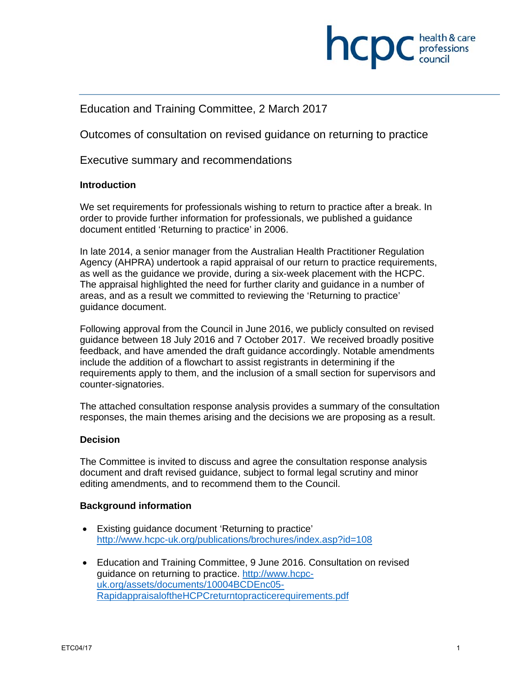

# Education and Training Committee, 2 March 2017

Outcomes of consultation on revised guidance on returning to practice

Executive summary and recommendations

#### **Introduction**

We set requirements for professionals wishing to return to practice after a break. In order to provide further information for professionals, we published a guidance document entitled 'Returning to practice' in 2006.

In late 2014, a senior manager from the Australian Health Practitioner Regulation Agency (AHPRA) undertook a rapid appraisal of our return to practice requirements, as well as the guidance we provide, during a six-week placement with the HCPC. The appraisal highlighted the need for further clarity and guidance in a number of areas, and as a result we committed to reviewing the 'Returning to practice' guidance document.

Following approval from the Council in June 2016, we publicly consulted on revised guidance between 18 July 2016 and 7 October 2017. We received broadly positive feedback, and have amended the draft guidance accordingly. Notable amendments include the addition of a flowchart to assist registrants in determining if the requirements apply to them, and the inclusion of a small section for supervisors and counter-signatories.

The attached consultation response analysis provides a summary of the consultation responses, the main themes arising and the decisions we are proposing as a result.

#### **Decision**

The Committee is invited to discuss and agree the consultation response analysis document and draft revised guidance, subject to formal legal scrutiny and minor editing amendments, and to recommend them to the Council.

#### **Background information**

- Existing guidance document 'Returning to practice' http://www.hcpc-uk.org/publications/brochures/index.asp?id=108
- Education and Training Committee, 9 June 2016. Consultation on revised guidance on returning to practice. http://www.hcpcuk.org/assets/documents/10004BCDEnc05- RapidappraisaloftheHCPCreturntopracticerequirements.pdf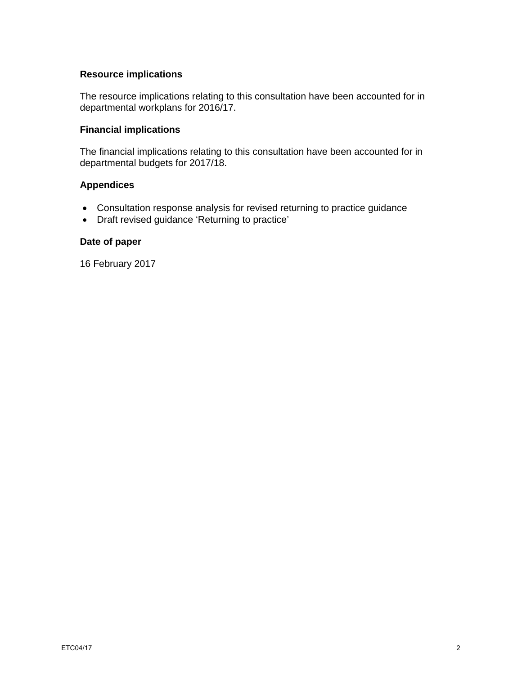#### **Resource implications**

The resource implications relating to this consultation have been accounted for in departmental workplans for 2016/17.

## **Financial implications**

The financial implications relating to this consultation have been accounted for in departmental budgets for 2017/18.

# **Appendices**

- Consultation response analysis for revised returning to practice guidance
- Draft revised guidance 'Returning to practice'

## **Date of paper**

16 February 2017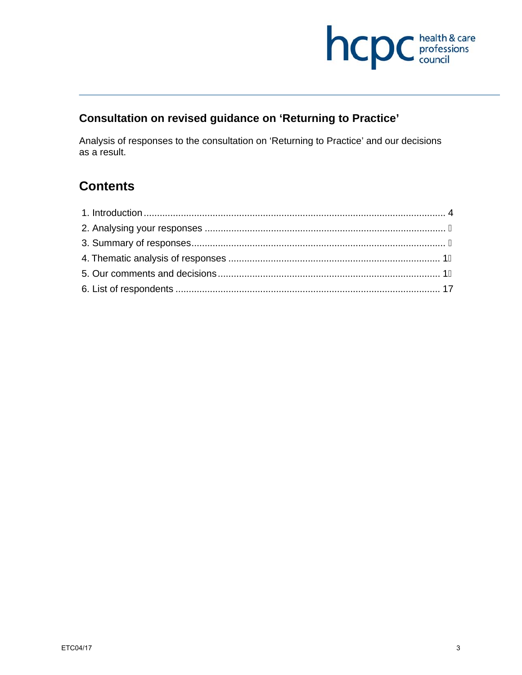

# **Consultation on revised guidance on 'Returning to Practice'**

Analysis of responses to the consultation on 'Returning to Practice' and our decisions as a result.

# **Contents**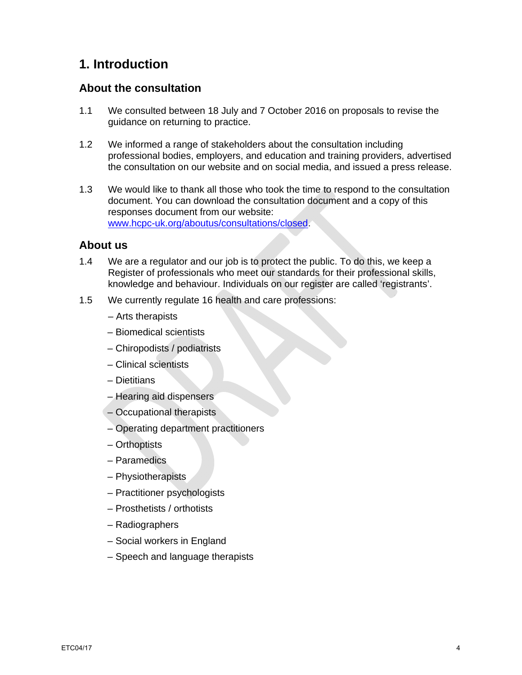# **1. Introduction**

# **About the consultation**

- 1.1 We consulted between 18 July and 7 October 2016 on proposals to revise the guidance on returning to practice.
- 1.2 We informed a range of stakeholders about the consultation including professional bodies, employers, and education and training providers, advertised the consultation on our website and on social media, and issued a press release.
- 1.3 We would like to thank all those who took the time to respond to the consultation document. You can download the consultation document and a copy of this responses document from our website: www.hcpc-uk.org/aboutus/consultations/closed.

# **About us**

- 1.4 We are a regulator and our job is to protect the public. To do this, we keep a Register of professionals who meet our standards for their professional skills, knowledge and behaviour. Individuals on our register are called 'registrants'.
- 1.5 We currently regulate 16 health and care professions:
	- Arts therapists
	- Biomedical scientists
	- Chiropodists / podiatrists
	- Clinical scientists
	- Dietitians
	- Hearing aid dispensers
	- Occupational therapists
	- Operating department practitioners
	- Orthoptists
	- Paramedics
	- Physiotherapists
	- Practitioner psychologists
	- Prosthetists / orthotists
	- Radiographers
	- Social workers in England
	- Speech and language therapists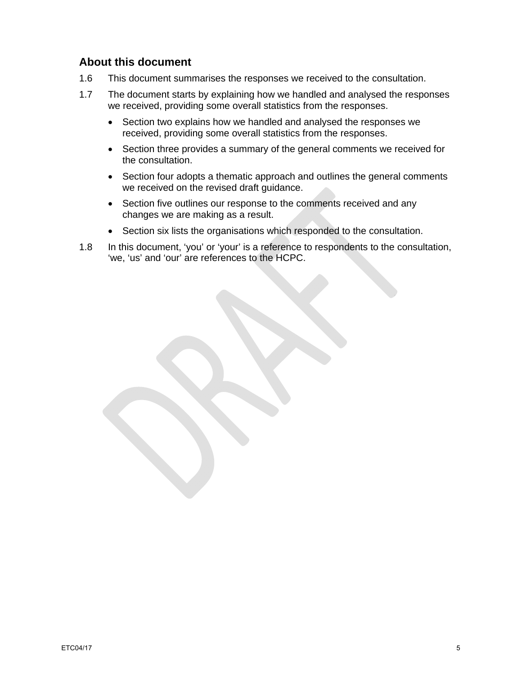# **About this document**

- 1.6 This document summarises the responses we received to the consultation.
- 1.7 The document starts by explaining how we handled and analysed the responses we received, providing some overall statistics from the responses.
	- Section two explains how we handled and analysed the responses we received, providing some overall statistics from the responses.
	- Section three provides a summary of the general comments we received for the consultation.
	- Section four adopts a thematic approach and outlines the general comments we received on the revised draft guidance.
	- Section five outlines our response to the comments received and any changes we are making as a result.
	- Section six lists the organisations which responded to the consultation.
- 1.8 In this document, 'you' or 'your' is a reference to respondents to the consultation, 'we, 'us' and 'our' are references to the HCPC.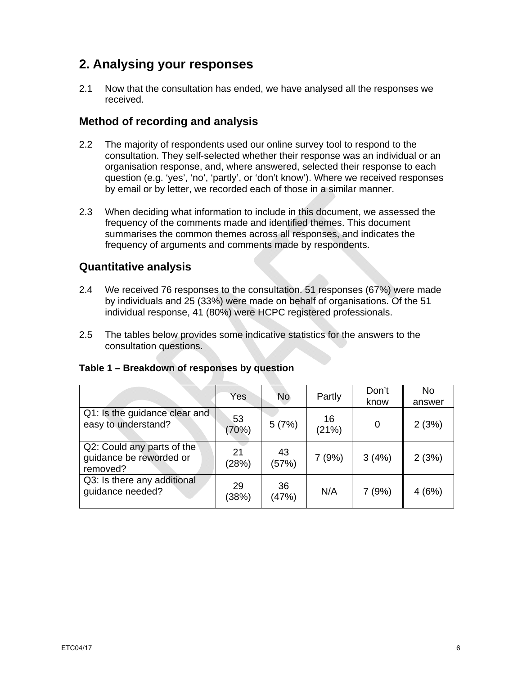# **2. Analysing your responses**

2.1 Now that the consultation has ended, we have analysed all the responses we received.

# **Method of recording and analysis**

- 2.2 The majority of respondents used our online survey tool to respond to the consultation. They self-selected whether their response was an individual or an organisation response, and, where answered, selected their response to each question (e.g. 'yes', 'no', 'partly', or 'don't know'). Where we received responses by email or by letter, we recorded each of those in a similar manner.
- 2.3 When deciding what information to include in this document, we assessed the frequency of the comments made and identified themes. This document summarises the common themes across all responses, and indicates the frequency of arguments and comments made by respondents.

# **Quantitative analysis**

- 2.4 We received 76 responses to the consultation. 51 responses (67%) were made by individuals and 25 (33%) were made on behalf of organisations. Of the 51 individual response, 41 (80%) were HCPC registered professionals.
- 2.5 The tables below provides some indicative statistics for the answers to the consultation questions.

|                                                                   | Yes         | <b>No</b>   | Partly      | Don't<br>know | <b>No</b><br>answer |
|-------------------------------------------------------------------|-------------|-------------|-------------|---------------|---------------------|
| Q1: Is the guidance clear and<br>easy to understand?              | 53<br>(70%) | 5(7%)       | 16<br>(21%) | 0             | 2(3%)               |
| Q2: Could any parts of the<br>guidance be reworded or<br>removed? | 21<br>(28%) | 43<br>(57%) | 7(9%)       | 3(4%)         | 2(3%)               |
| Q3: Is there any additional<br>guidance needed?                   | 29<br>(38%) | 36<br>(47%) | N/A         | 7(9%)         | 4(6%)               |

## **Table 1 – Breakdown of responses by question**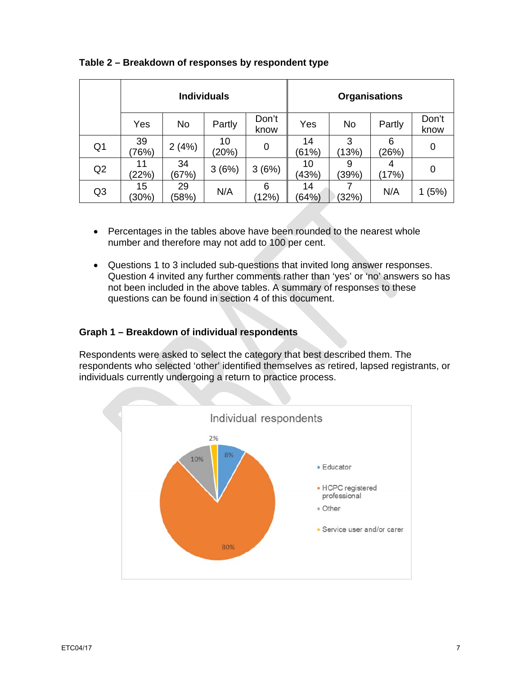|                | <b>Individuals</b> |             |             | <b>Organisations</b> |             |            |            |               |
|----------------|--------------------|-------------|-------------|----------------------|-------------|------------|------------|---------------|
|                | Yes                | No          | Partly      | Don't<br>know        | Yes         | No         | Partly     | Don't<br>know |
| Q <sub>1</sub> | 39<br>(76%)        | 2(4%)       | 10<br>(20%) | 0                    | 14<br>(61%) | 3<br>(13%) | 6<br>(26%) | 0             |
| Q2             | 11<br>(22%)        | 34<br>(67%) | 3(6%)       | 3(6%)                | 10<br>(43%) | 9<br>(39%) | 4<br>(17%) | 0             |
| Q <sub>3</sub> | 15<br>(30%)        | 29<br>(58%) | N/A         | 6<br>12%             | 14<br>(64%) | (32%)      | N/A        | (5%)          |

## **Table 2 – Breakdown of responses by respondent type**

- Percentages in the tables above have been rounded to the nearest whole number and therefore may not add to 100 per cent.
- Questions 1 to 3 included sub-questions that invited long answer responses. Question 4 invited any further comments rather than 'yes' or 'no' answers so has not been included in the above tables. A summary of responses to these questions can be found in section 4 of this document.

# **Graph 1 – Breakdown of individual respondents**

Respondents were asked to select the category that best described them. The respondents who selected 'other' identified themselves as retired, lapsed registrants, or individuals currently undergoing a return to practice process.

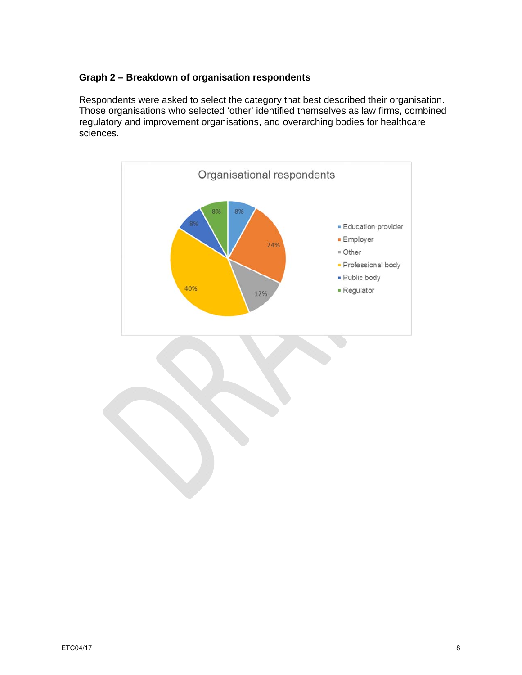# **Graph 2 – Breakdown of organisation respondents**

Respondents were asked to select the category that best described their organisation. Those organisations who selected 'other' identified themselves as law firms, combined regulatory and improvement organisations, and overarching bodies for healthcare sciences.

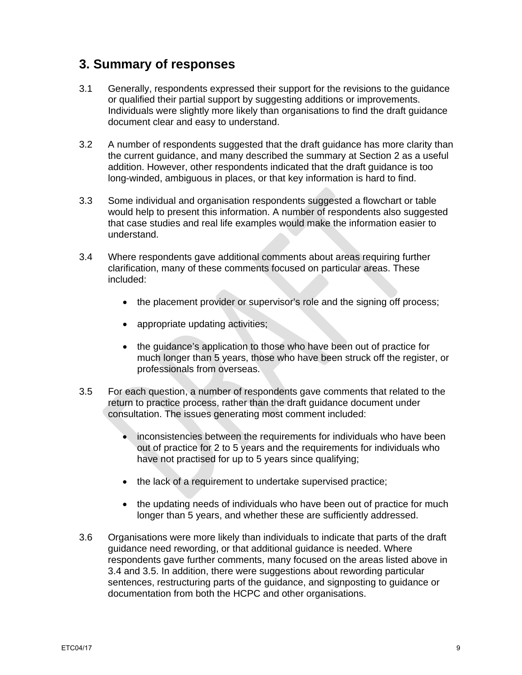# **3. Summary of responses**

- 3.1 Generally, respondents expressed their support for the revisions to the guidance or qualified their partial support by suggesting additions or improvements. Individuals were slightly more likely than organisations to find the draft guidance document clear and easy to understand.
- 3.2 A number of respondents suggested that the draft guidance has more clarity than the current guidance, and many described the summary at Section 2 as a useful addition. However, other respondents indicated that the draft guidance is too long-winded, ambiguous in places, or that key information is hard to find.
- 3.3 Some individual and organisation respondents suggested a flowchart or table would help to present this information. A number of respondents also suggested that case studies and real life examples would make the information easier to understand.
- 3.4 Where respondents gave additional comments about areas requiring further clarification, many of these comments focused on particular areas. These included:
	- the placement provider or supervisor's role and the signing off process;
	- appropriate updating activities;
	- the guidance's application to those who have been out of practice for much longer than 5 years, those who have been struck off the register, or professionals from overseas.
- 3.5 For each question, a number of respondents gave comments that related to the return to practice process, rather than the draft guidance document under consultation. The issues generating most comment included:
	- inconsistencies between the requirements for individuals who have been out of practice for 2 to 5 years and the requirements for individuals who have not practised for up to 5 years since qualifying;
	- the lack of a requirement to undertake supervised practice;
	- the updating needs of individuals who have been out of practice for much longer than 5 years, and whether these are sufficiently addressed.
- 3.6 Organisations were more likely than individuals to indicate that parts of the draft guidance need rewording, or that additional guidance is needed. Where respondents gave further comments, many focused on the areas listed above in 3.4 and 3.5. In addition, there were suggestions about rewording particular sentences, restructuring parts of the guidance, and signposting to guidance or documentation from both the HCPC and other organisations.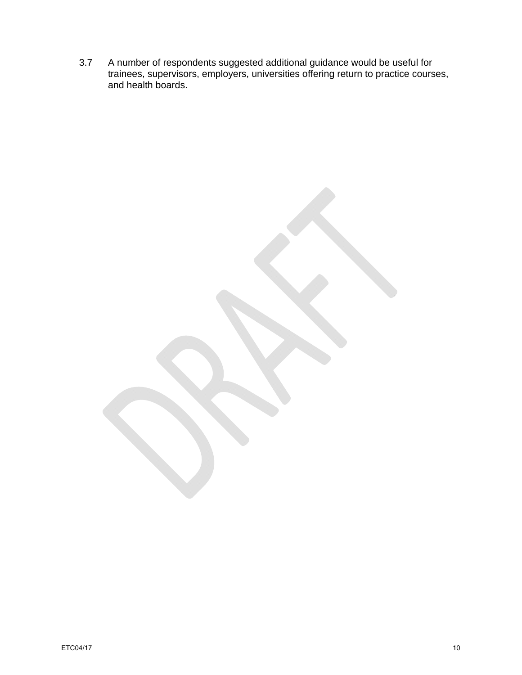3.7 A number of respondents suggested additional guidance would be useful for trainees, supervisors, employers, universities offering return to practice courses, and health boards.

 $ETCO4/17$  and the contract of the contract of the contract of the contract of the contract of the contract of the contract of the contract of the contract of the contract of the contract of the contract of the contract of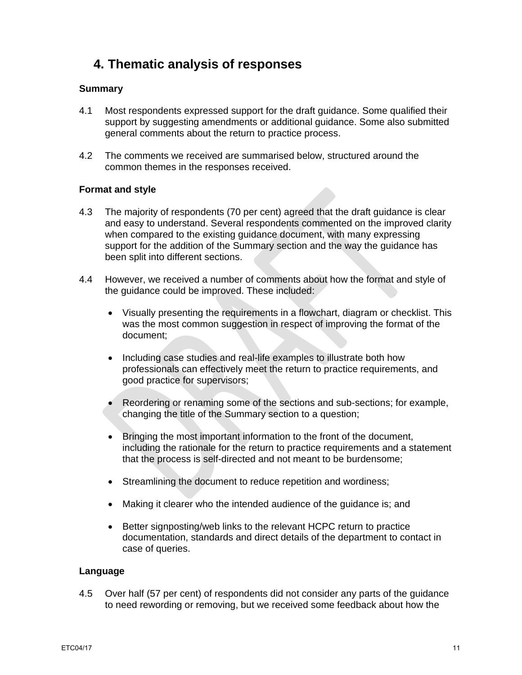# **4. Thematic analysis of responses**

## **Summary**

- 4.1 Most respondents expressed support for the draft guidance. Some qualified their support by suggesting amendments or additional guidance. Some also submitted general comments about the return to practice process.
- 4.2 The comments we received are summarised below, structured around the common themes in the responses received.

## **Format and style**

- 4.3 The majority of respondents (70 per cent) agreed that the draft guidance is clear and easy to understand. Several respondents commented on the improved clarity when compared to the existing guidance document, with many expressing support for the addition of the Summary section and the way the guidance has been split into different sections.
- 4.4 However, we received a number of comments about how the format and style of the guidance could be improved. These included:
	- Visually presenting the requirements in a flowchart, diagram or checklist. This was the most common suggestion in respect of improving the format of the document;
	- Including case studies and real-life examples to illustrate both how professionals can effectively meet the return to practice requirements, and good practice for supervisors;
	- Reordering or renaming some of the sections and sub-sections; for example, changing the title of the Summary section to a question;
	- Bringing the most important information to the front of the document, including the rationale for the return to practice requirements and a statement that the process is self-directed and not meant to be burdensome;
	- Streamlining the document to reduce repetition and wordiness;
	- Making it clearer who the intended audience of the guidance is; and
	- Better signposting/web links to the relevant HCPC return to practice documentation, standards and direct details of the department to contact in case of queries.

## **Language**

4.5 Over half (57 per cent) of respondents did not consider any parts of the guidance to need rewording or removing, but we received some feedback about how the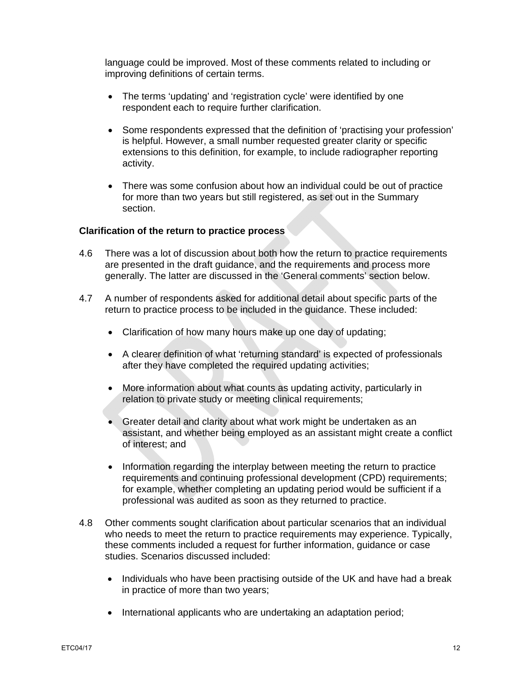language could be improved. Most of these comments related to including or improving definitions of certain terms.

- The terms 'updating' and 'registration cycle' were identified by one respondent each to require further clarification.
- Some respondents expressed that the definition of 'practising your profession' is helpful. However, a small number requested greater clarity or specific extensions to this definition, for example, to include radiographer reporting activity.
- There was some confusion about how an individual could be out of practice for more than two years but still registered, as set out in the Summary section.

## **Clarification of the return to practice process**

- 4.6 There was a lot of discussion about both how the return to practice requirements are presented in the draft guidance, and the requirements and process more generally. The latter are discussed in the 'General comments' section below.
- 4.7 A number of respondents asked for additional detail about specific parts of the return to practice process to be included in the guidance. These included:
	- Clarification of how many hours make up one day of updating;
	- A clearer definition of what 'returning standard' is expected of professionals after they have completed the required updating activities;
	- More information about what counts as updating activity, particularly in relation to private study or meeting clinical requirements;
	- Greater detail and clarity about what work might be undertaken as an assistant, and whether being employed as an assistant might create a conflict of interest; and
	- Information regarding the interplay between meeting the return to practice requirements and continuing professional development (CPD) requirements; for example, whether completing an updating period would be sufficient if a professional was audited as soon as they returned to practice.
- 4.8 Other comments sought clarification about particular scenarios that an individual who needs to meet the return to practice requirements may experience. Typically, these comments included a request for further information, guidance or case studies. Scenarios discussed included:
	- Individuals who have been practising outside of the UK and have had a break in practice of more than two years;
	- International applicants who are undertaking an adaptation period;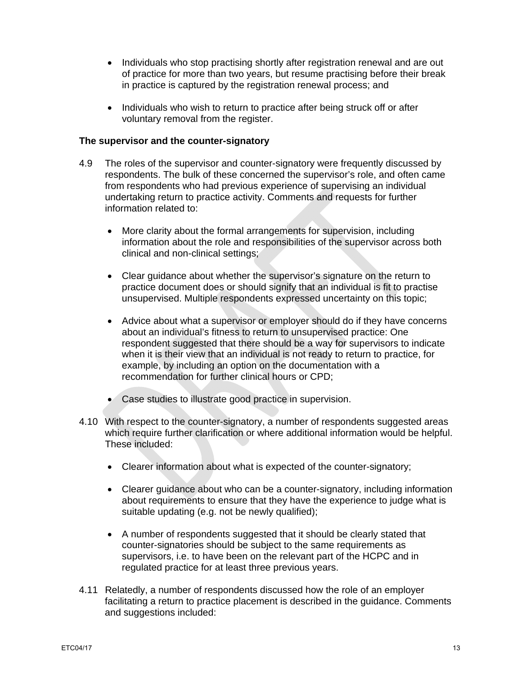- Individuals who stop practising shortly after registration renewal and are out of practice for more than two years, but resume practising before their break in practice is captured by the registration renewal process; and
- Individuals who wish to return to practice after being struck off or after voluntary removal from the register.

## **The supervisor and the counter-signatory**

- 4.9 The roles of the supervisor and counter-signatory were frequently discussed by respondents. The bulk of these concerned the supervisor's role, and often came from respondents who had previous experience of supervising an individual undertaking return to practice activity. Comments and requests for further information related to:
	- More clarity about the formal arrangements for supervision, including information about the role and responsibilities of the supervisor across both clinical and non-clinical settings;
	- Clear guidance about whether the supervisor's signature on the return to practice document does or should signify that an individual is fit to practise unsupervised. Multiple respondents expressed uncertainty on this topic;
	- Advice about what a supervisor or employer should do if they have concerns about an individual's fitness to return to unsupervised practice: One respondent suggested that there should be a way for supervisors to indicate when it is their view that an individual is not ready to return to practice, for example, by including an option on the documentation with a recommendation for further clinical hours or CPD;
	- Case studies to illustrate good practice in supervision.
- 4.10 With respect to the counter-signatory, a number of respondents suggested areas which require further clarification or where additional information would be helpful. These included:
	- Clearer information about what is expected of the counter-signatory;
	- Clearer guidance about who can be a counter-signatory, including information about requirements to ensure that they have the experience to judge what is suitable updating (e.g. not be newly qualified);
	- A number of respondents suggested that it should be clearly stated that counter-signatories should be subject to the same requirements as supervisors, i.e. to have been on the relevant part of the HCPC and in regulated practice for at least three previous years.
- 4.11 Relatedly, a number of respondents discussed how the role of an employer facilitating a return to practice placement is described in the guidance. Comments and suggestions included: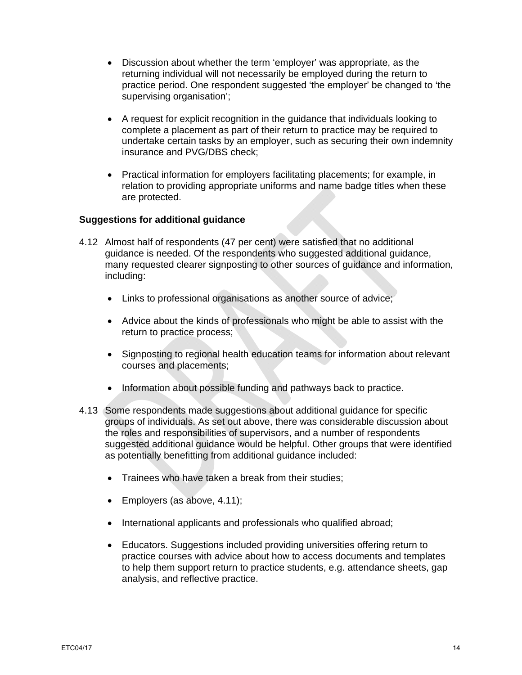- Discussion about whether the term 'employer' was appropriate, as the returning individual will not necessarily be employed during the return to practice period. One respondent suggested 'the employer' be changed to 'the supervising organisation';
- A request for explicit recognition in the guidance that individuals looking to complete a placement as part of their return to practice may be required to undertake certain tasks by an employer, such as securing their own indemnity insurance and PVG/DBS check;
- Practical information for employers facilitating placements; for example, in relation to providing appropriate uniforms and name badge titles when these are protected.

## **Suggestions for additional guidance**

- 4.12 Almost half of respondents (47 per cent) were satisfied that no additional guidance is needed. Of the respondents who suggested additional guidance, many requested clearer signposting to other sources of guidance and information, including:
	- Links to professional organisations as another source of advice;
	- Advice about the kinds of professionals who might be able to assist with the return to practice process;
	- Signposting to regional health education teams for information about relevant courses and placements;
	- Information about possible funding and pathways back to practice.
- 4.13 Some respondents made suggestions about additional guidance for specific groups of individuals. As set out above, there was considerable discussion about the roles and responsibilities of supervisors, and a number of respondents suggested additional guidance would be helpful. Other groups that were identified as potentially benefitting from additional guidance included:
	- Trainees who have taken a break from their studies;
	- Employers (as above, 4.11);
	- International applicants and professionals who qualified abroad;
	- Educators. Suggestions included providing universities offering return to practice courses with advice about how to access documents and templates to help them support return to practice students, e.g. attendance sheets, gap analysis, and reflective practice.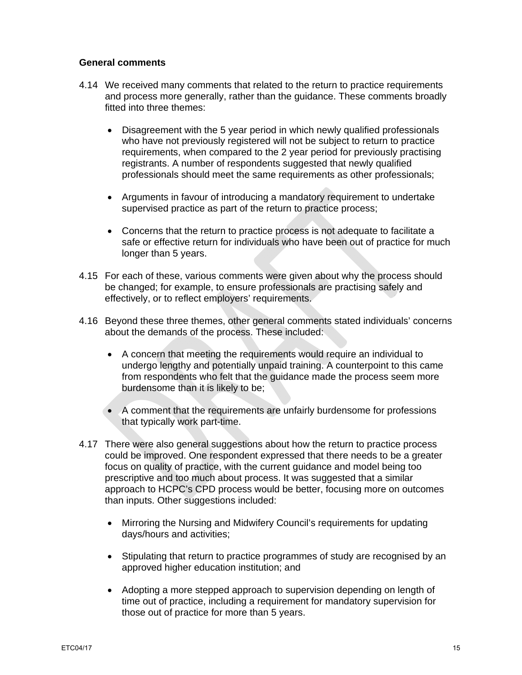## **General comments**

- 4.14 We received many comments that related to the return to practice requirements and process more generally, rather than the guidance. These comments broadly fitted into three themes:
	- Disagreement with the 5 year period in which newly qualified professionals who have not previously registered will not be subject to return to practice requirements, when compared to the 2 year period for previously practising registrants. A number of respondents suggested that newly qualified professionals should meet the same requirements as other professionals;
	- Arguments in favour of introducing a mandatory requirement to undertake supervised practice as part of the return to practice process;
	- Concerns that the return to practice process is not adequate to facilitate a safe or effective return for individuals who have been out of practice for much longer than 5 years.
- 4.15 For each of these, various comments were given about why the process should be changed; for example, to ensure professionals are practising safely and effectively, or to reflect employers' requirements.
- 4.16 Beyond these three themes, other general comments stated individuals' concerns about the demands of the process. These included:
	- A concern that meeting the requirements would require an individual to undergo lengthy and potentially unpaid training. A counterpoint to this came from respondents who felt that the guidance made the process seem more burdensome than it is likely to be;
	- A comment that the requirements are unfairly burdensome for professions that typically work part-time.
- 4.17 There were also general suggestions about how the return to practice process could be improved. One respondent expressed that there needs to be a greater focus on quality of practice, with the current guidance and model being too prescriptive and too much about process. It was suggested that a similar approach to HCPC's CPD process would be better, focusing more on outcomes than inputs. Other suggestions included:
	- Mirroring the Nursing and Midwifery Council's requirements for updating days/hours and activities;
	- Stipulating that return to practice programmes of study are recognised by an approved higher education institution; and
	- Adopting a more stepped approach to supervision depending on length of time out of practice, including a requirement for mandatory supervision for those out of practice for more than 5 years.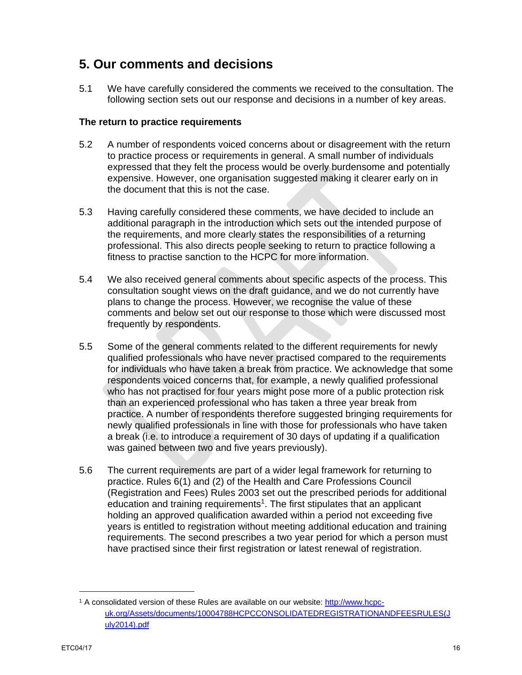# **5. Our comments and decisions**

5.1 We have carefully considered the comments we received to the consultation. The following section sets out our response and decisions in a number of key areas.

## **The return to practice requirements**

- 5.2 A number of respondents voiced concerns about or disagreement with the return to practice process or requirements in general. A small number of individuals expressed that they felt the process would be overly burdensome and potentially expensive. However, one organisation suggested making it clearer early on in the document that this is not the case.
- 5.3 Having carefully considered these comments, we have decided to include an additional paragraph in the introduction which sets out the intended purpose of the requirements, and more clearly states the responsibilities of a returning professional. This also directs people seeking to return to practice following a fitness to practise sanction to the HCPC for more information.
- 5.4 We also received general comments about specific aspects of the process. This consultation sought views on the draft guidance, and we do not currently have plans to change the process. However, we recognise the value of these comments and below set out our response to those which were discussed most frequently by respondents.
- 5.5 Some of the general comments related to the different requirements for newly qualified professionals who have never practised compared to the requirements for individuals who have taken a break from practice. We acknowledge that some respondents voiced concerns that, for example, a newly qualified professional who has not practised for four years might pose more of a public protection risk than an experienced professional who has taken a three year break from practice. A number of respondents therefore suggested bringing requirements for newly qualified professionals in line with those for professionals who have taken a break (i.e. to introduce a requirement of 30 days of updating if a qualification was gained between two and five years previously).
- 5.6 The current requirements are part of a wider legal framework for returning to practice. Rules 6(1) and (2) of the Health and Care Professions Council (Registration and Fees) Rules 2003 set out the prescribed periods for additional education and training requirements<sup>1</sup>. The first stipulates that an applicant holding an approved qualification awarded within a period not exceeding five years is entitled to registration without meeting additional education and training requirements. The second prescribes a two year period for which a person must have practised since their first registration or latest renewal of registration.

 $\overline{a}$ 

<sup>1</sup> A consolidated version of these Rules are available on our website: http://www.hcpcuk.org/Assets/documents/10004788HCPCCONSOLIDATEDREGISTRATIONANDFEESRULES(J uly2014).pdf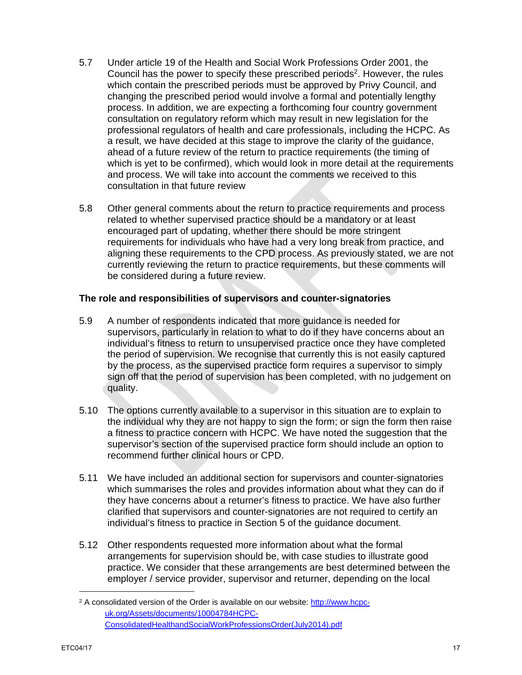- 5.7 Under article 19 of the Health and Social Work Professions Order 2001, the Council has the power to specify these prescribed periods2. However, the rules which contain the prescribed periods must be approved by Privy Council, and changing the prescribed period would involve a formal and potentially lengthy process. In addition, we are expecting a forthcoming four country government consultation on regulatory reform which may result in new legislation for the professional regulators of health and care professionals, including the HCPC. As a result, we have decided at this stage to improve the clarity of the guidance, ahead of a future review of the return to practice requirements (the timing of which is yet to be confirmed), which would look in more detail at the requirements and process. We will take into account the comments we received to this consultation in that future review
- 5.8 Other general comments about the return to practice requirements and process related to whether supervised practice should be a mandatory or at least encouraged part of updating, whether there should be more stringent requirements for individuals who have had a very long break from practice, and aligning these requirements to the CPD process. As previously stated, we are not currently reviewing the return to practice requirements, but these comments will be considered during a future review.

# **The role and responsibilities of supervisors and counter-signatories**

- 5.9 A number of respondents indicated that more guidance is needed for supervisors, particularly in relation to what to do if they have concerns about an individual's fitness to return to unsupervised practice once they have completed the period of supervision. We recognise that currently this is not easily captured by the process, as the supervised practice form requires a supervisor to simply sign off that the period of supervision has been completed, with no judgement on quality.
- 5.10 The options currently available to a supervisor in this situation are to explain to the individual why they are not happy to sign the form; or sign the form then raise a fitness to practice concern with HCPC. We have noted the suggestion that the supervisor's section of the supervised practice form should include an option to recommend further clinical hours or CPD.
- 5.11 We have included an additional section for supervisors and counter-signatories which summarises the roles and provides information about what they can do if they have concerns about a returner's fitness to practice. We have also further clarified that supervisors and counter-signatories are not required to certify an individual's fitness to practice in Section 5 of the guidance document.
- 5.12 Other respondents requested more information about what the formal arrangements for supervision should be, with case studies to illustrate good practice. We consider that these arrangements are best determined between the employer / service provider, supervisor and returner, depending on the local

 $\overline{a}$ 

<sup>&</sup>lt;sup>2</sup> A consolidated version of the Order is available on our website: http://www.hcpcuk.org/Assets/documents/10004784HCPC-ConsolidatedHealthandSocialWorkProfessionsOrder(July2014).pdf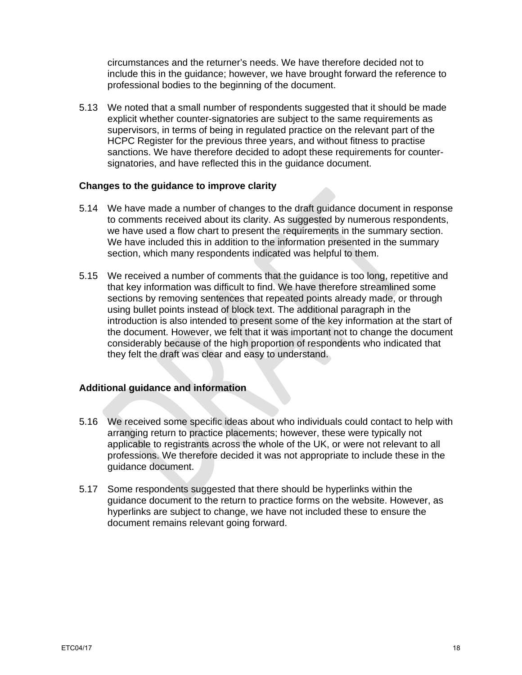circumstances and the returner's needs. We have therefore decided not to include this in the guidance; however, we have brought forward the reference to professional bodies to the beginning of the document.

5.13 We noted that a small number of respondents suggested that it should be made explicit whether counter-signatories are subject to the same requirements as supervisors, in terms of being in regulated practice on the relevant part of the HCPC Register for the previous three years, and without fitness to practise sanctions. We have therefore decided to adopt these requirements for countersignatories, and have reflected this in the guidance document.

#### **Changes to the guidance to improve clarity**

- 5.14 We have made a number of changes to the draft guidance document in response to comments received about its clarity. As suggested by numerous respondents, we have used a flow chart to present the requirements in the summary section. We have included this in addition to the information presented in the summary section, which many respondents indicated was helpful to them.
- 5.15 We received a number of comments that the guidance is too long, repetitive and that key information was difficult to find. We have therefore streamlined some sections by removing sentences that repeated points already made, or through using bullet points instead of block text. The additional paragraph in the introduction is also intended to present some of the key information at the start of the document. However, we felt that it was important not to change the document considerably because of the high proportion of respondents who indicated that they felt the draft was clear and easy to understand.

## **Additional guidance and information**

- 5.16 We received some specific ideas about who individuals could contact to help with arranging return to practice placements; however, these were typically not applicable to registrants across the whole of the UK, or were not relevant to all professions. We therefore decided it was not appropriate to include these in the guidance document.
- 5.17 Some respondents suggested that there should be hyperlinks within the guidance document to the return to practice forms on the website. However, as hyperlinks are subject to change, we have not included these to ensure the document remains relevant going forward.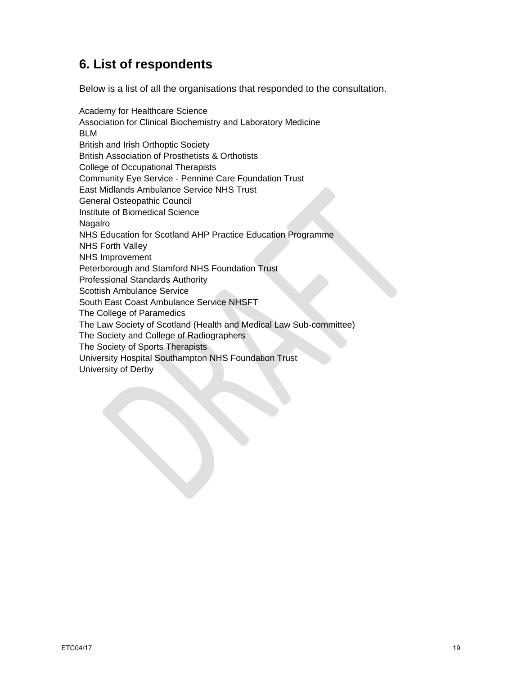# **6. List of respondents**

Below is a list of all the organisations that responded to the consultation.

Academy for Healthcare Science Association for Clinical Biochemistry and Laboratory Medicine BLM British and Irish Orthoptic Society British Association of Prosthetists & Orthotists College of Occupational Therapists Community Eye Service - Pennine Care Foundation Trust East Midlands Ambulance Service NHS Trust General Osteopathic Council Institute of Biomedical Science Nagalro NHS Education for Scotland AHP Practice Education Programme NHS Forth Valley NHS Improvement Peterborough and Stamford NHS Foundation Trust Professional Standards Authority Scottish Ambulance Service South East Coast Ambulance Service NHSFT The College of Paramedics The Law Society of Scotland (Health and Medical Law Sub-committee) The Society and College of Radiographers The Society of Sports Therapists University Hospital Southampton NHS Foundation Trust University of Derby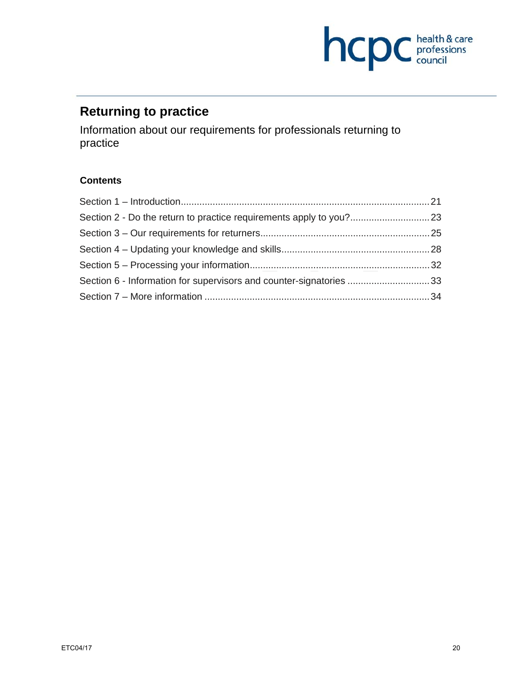

# **Returning to practice**

Information about our requirements for professionals returning to practice

# **Contents**

| Section 6 - Information for supervisors and counter-signatories 33 |  |
|--------------------------------------------------------------------|--|
|                                                                    |  |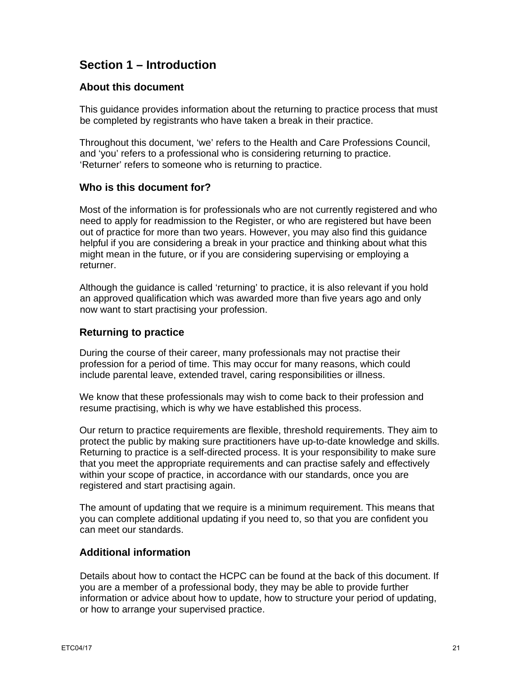# **Section 1 – Introduction**

## **About this document**

This guidance provides information about the returning to practice process that must be completed by registrants who have taken a break in their practice.

Throughout this document, 'we' refers to the Health and Care Professions Council, and 'you' refers to a professional who is considering returning to practice. 'Returner' refers to someone who is returning to practice.

## **Who is this document for?**

Most of the information is for professionals who are not currently registered and who need to apply for readmission to the Register, or who are registered but have been out of practice for more than two years. However, you may also find this guidance helpful if you are considering a break in your practice and thinking about what this might mean in the future, or if you are considering supervising or employing a returner.

Although the guidance is called 'returning' to practice, it is also relevant if you hold an approved qualification which was awarded more than five years ago and only now want to start practising your profession.

## **Returning to practice**

During the course of their career, many professionals may not practise their profession for a period of time. This may occur for many reasons, which could include parental leave, extended travel, caring responsibilities or illness.

We know that these professionals may wish to come back to their profession and resume practising, which is why we have established this process.

Our return to practice requirements are flexible, threshold requirements. They aim to protect the public by making sure practitioners have up-to-date knowledge and skills. Returning to practice is a self-directed process. It is your responsibility to make sure that you meet the appropriate requirements and can practise safely and effectively within your scope of practice, in accordance with our standards, once you are registered and start practising again.

The amount of updating that we require is a minimum requirement. This means that you can complete additional updating if you need to, so that you are confident you can meet our standards.

# **Additional information**

Details about how to contact the HCPC can be found at the back of this document. If you are a member of a professional body, they may be able to provide further information or advice about how to update, how to structure your period of updating, or how to arrange your supervised practice.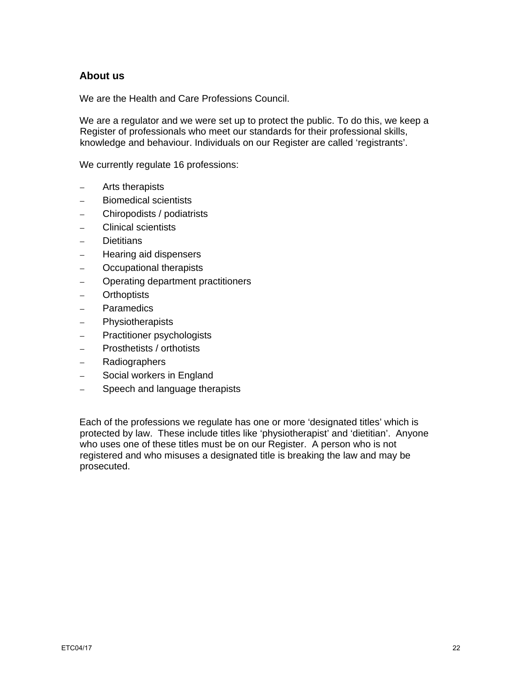# **About us**

We are the Health and Care Professions Council.

We are a regulator and we were set up to protect the public. To do this, we keep a Register of professionals who meet our standards for their professional skills, knowledge and behaviour. Individuals on our Register are called 'registrants'.

We currently regulate 16 professions:

- Arts therapists
- Biomedical scientists
- Chiropodists / podiatrists
- Clinical scientists
- Dietitians
- Hearing aid dispensers
- Occupational therapists
- Operating department practitioners
- Orthoptists
- Paramedics
- Physiotherapists
- Practitioner psychologists
- Prosthetists / orthotists
- Radiographers
- Social workers in England
- Speech and language therapists

Each of the professions we regulate has one or more 'designated titles' which is protected by law. These include titles like 'physiotherapist' and 'dietitian'. Anyone who uses one of these titles must be on our Register. A person who is not registered and who misuses a designated title is breaking the law and may be prosecuted.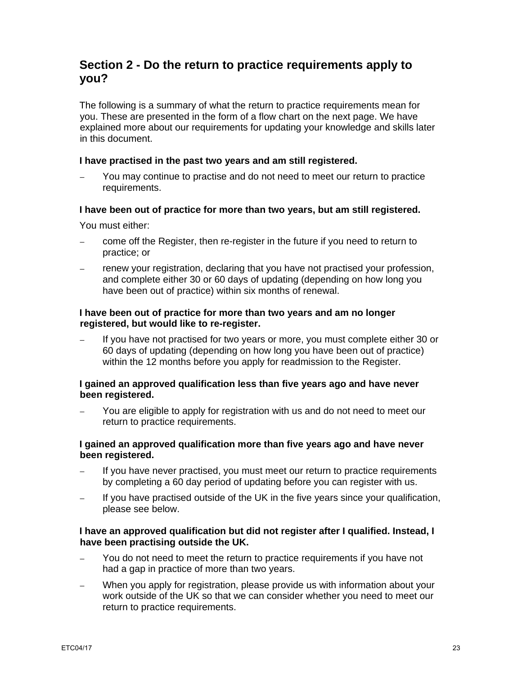# **Section 2 - Do the return to practice requirements apply to you?**

The following is a summary of what the return to practice requirements mean for you. These are presented in the form of a flow chart on the next page. We have explained more about our requirements for updating your knowledge and skills later in this document.

#### **I have practised in the past two years and am still registered.**

– You may continue to practise and do not need to meet our return to practice requirements.

#### **I have been out of practice for more than two years, but am still registered.**

You must either:

- come off the Register, then re-register in the future if you need to return to practice; or
- renew your registration, declaring that you have not practised your profession, and complete either 30 or 60 days of updating (depending on how long you have been out of practice) within six months of renewal.

#### **I have been out of practice for more than two years and am no longer registered, but would like to re-register.**

– If you have not practised for two years or more, you must complete either 30 or 60 days of updating (depending on how long you have been out of practice) within the 12 months before you apply for readmission to the Register.

#### **I gained an approved qualification less than five years ago and have never been registered.**

– You are eligible to apply for registration with us and do not need to meet our return to practice requirements.

#### **I gained an approved qualification more than five years ago and have never been registered.**

- If you have never practised, you must meet our return to practice requirements by completing a 60 day period of updating before you can register with us.
- If you have practised outside of the UK in the five years since your qualification, please see below.

#### **I have an approved qualification but did not register after I qualified. Instead, I have been practising outside the UK.**

- You do not need to meet the return to practice requirements if you have not had a gap in practice of more than two years.
- When you apply for registration, please provide us with information about your work outside of the UK so that we can consider whether you need to meet our return to practice requirements.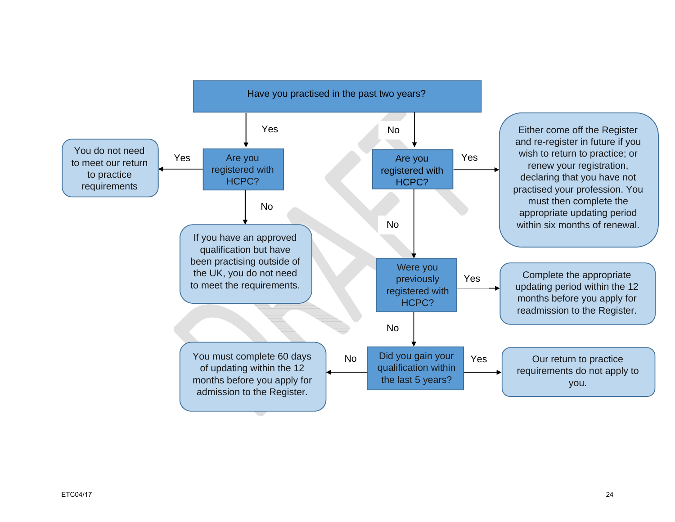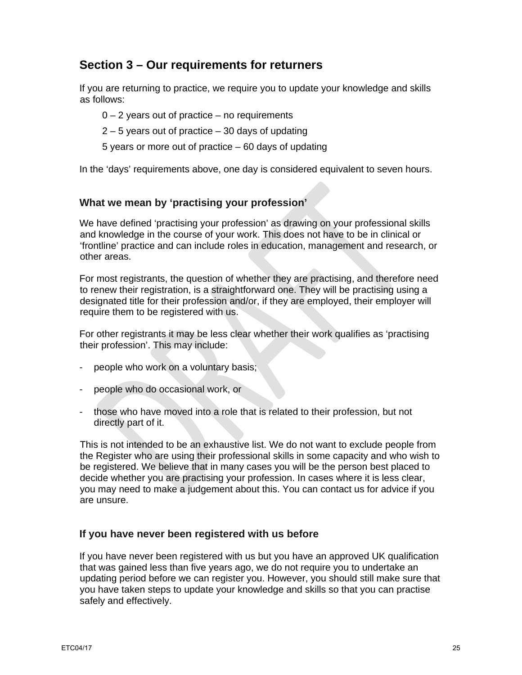# **Section 3 – Our requirements for returners**

If you are returning to practice, we require you to update your knowledge and skills as follows:

- $0 2$  years out of practice no requirements
- 2 5 years out of practice 30 days of updating
- 5 years or more out of practice 60 days of updating

In the 'days' requirements above, one day is considered equivalent to seven hours.

## **What we mean by 'practising your profession'**

We have defined 'practising your profession' as drawing on your professional skills and knowledge in the course of your work. This does not have to be in clinical or 'frontline' practice and can include roles in education, management and research, or other areas.

For most registrants, the question of whether they are practising, and therefore need to renew their registration, is a straightforward one. They will be practising using a designated title for their profession and/or, if they are employed, their employer will require them to be registered with us.

For other registrants it may be less clear whether their work qualifies as 'practising their profession'. This may include:

- people who work on a voluntary basis;
- people who do occasional work, or
- those who have moved into a role that is related to their profession, but not directly part of it.

This is not intended to be an exhaustive list. We do not want to exclude people from the Register who are using their professional skills in some capacity and who wish to be registered. We believe that in many cases you will be the person best placed to decide whether you are practising your profession. In cases where it is less clear, you may need to make a judgement about this. You can contact us for advice if you are unsure.

## **If you have never been registered with us before**

If you have never been registered with us but you have an approved UK qualification that was gained less than five years ago, we do not require you to undertake an updating period before we can register you. However, you should still make sure that you have taken steps to update your knowledge and skills so that you can practise safely and effectively.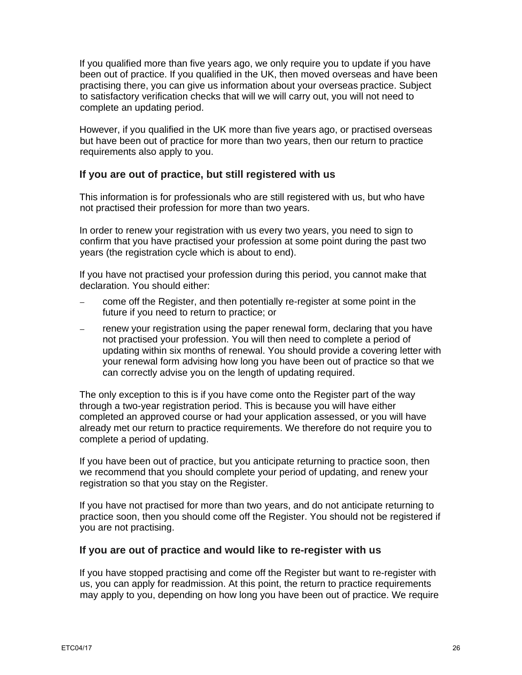If you qualified more than five years ago, we only require you to update if you have been out of practice. If you qualified in the UK, then moved overseas and have been practising there, you can give us information about your overseas practice. Subject to satisfactory verification checks that will we will carry out, you will not need to complete an updating period.

However, if you qualified in the UK more than five years ago, or practised overseas but have been out of practice for more than two years, then our return to practice requirements also apply to you.

# **If you are out of practice, but still registered with us**

This information is for professionals who are still registered with us, but who have not practised their profession for more than two years.

In order to renew your registration with us every two years, you need to sign to confirm that you have practised your profession at some point during the past two years (the registration cycle which is about to end).

If you have not practised your profession during this period, you cannot make that declaration. You should either:

- come off the Register, and then potentially re-register at some point in the future if you need to return to practice; or
- renew your registration using the paper renewal form, declaring that you have not practised your profession. You will then need to complete a period of updating within six months of renewal. You should provide a covering letter with your renewal form advising how long you have been out of practice so that we can correctly advise you on the length of updating required.

The only exception to this is if you have come onto the Register part of the way through a two-year registration period. This is because you will have either completed an approved course or had your application assessed, or you will have already met our return to practice requirements. We therefore do not require you to complete a period of updating.

If you have been out of practice, but you anticipate returning to practice soon, then we recommend that you should complete your period of updating, and renew your registration so that you stay on the Register.

If you have not practised for more than two years, and do not anticipate returning to practice soon, then you should come off the Register. You should not be registered if you are not practising.

## **If you are out of practice and would like to re-register with us**

If you have stopped practising and come off the Register but want to re-register with us, you can apply for readmission. At this point, the return to practice requirements may apply to you, depending on how long you have been out of practice. We require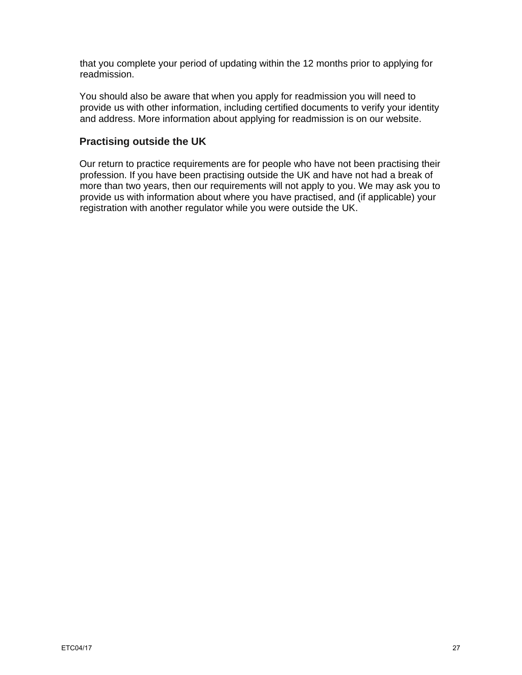that you complete your period of updating within the 12 months prior to applying for readmission.

You should also be aware that when you apply for readmission you will need to provide us with other information, including certified documents to verify your identity and address. More information about applying for readmission is on our website.

## **Practising outside the UK**

Our return to practice requirements are for people who have not been practising their profession. If you have been practising outside the UK and have not had a break of more than two years, then our requirements will not apply to you. We may ask you to provide us with information about where you have practised, and (if applicable) your registration with another regulator while you were outside the UK.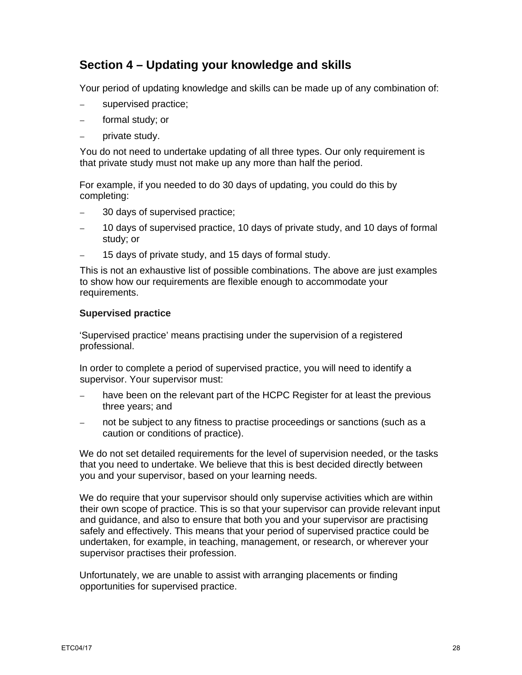# **Section 4 – Updating your knowledge and skills**

Your period of updating knowledge and skills can be made up of any combination of:

- supervised practice;
- formal study; or
- private study.

You do not need to undertake updating of all three types. Our only requirement is that private study must not make up any more than half the period.

For example, if you needed to do 30 days of updating, you could do this by completing:

- 30 days of supervised practice;
- 10 days of supervised practice, 10 days of private study, and 10 days of formal study; or
- 15 days of private study, and 15 days of formal study.

This is not an exhaustive list of possible combinations. The above are just examples to show how our requirements are flexible enough to accommodate your requirements.

## **Supervised practice**

'Supervised practice' means practising under the supervision of a registered professional.

In order to complete a period of supervised practice, you will need to identify a supervisor. Your supervisor must:

- have been on the relevant part of the HCPC Register for at least the previous three years; and
- not be subject to any fitness to practise proceedings or sanctions (such as a caution or conditions of practice).

We do not set detailed requirements for the level of supervision needed, or the tasks that you need to undertake. We believe that this is best decided directly between you and your supervisor, based on your learning needs.

We do require that your supervisor should only supervise activities which are within their own scope of practice. This is so that your supervisor can provide relevant input and guidance, and also to ensure that both you and your supervisor are practising safely and effectively. This means that your period of supervised practice could be undertaken, for example, in teaching, management, or research, or wherever your supervisor practises their profession.

Unfortunately, we are unable to assist with arranging placements or finding opportunities for supervised practice.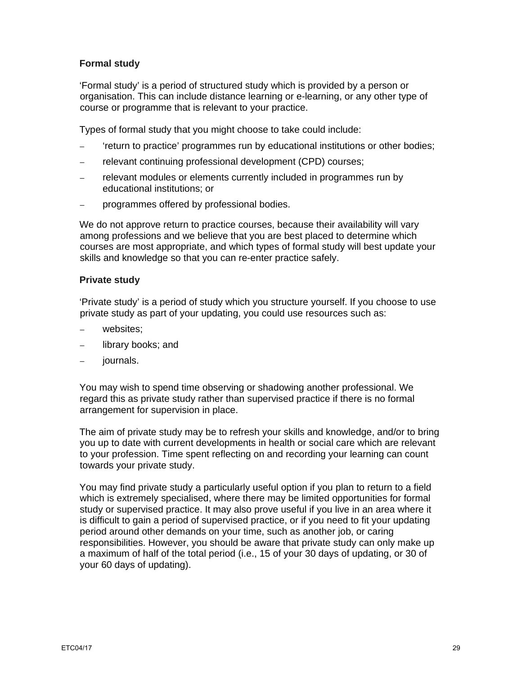## **Formal study**

'Formal study' is a period of structured study which is provided by a person or organisation. This can include distance learning or e-learning, or any other type of course or programme that is relevant to your practice.

Types of formal study that you might choose to take could include:

- 'return to practice' programmes run by educational institutions or other bodies;
- relevant continuing professional development (CPD) courses;
- relevant modules or elements currently included in programmes run by educational institutions; or
- programmes offered by professional bodies.

We do not approve return to practice courses, because their availability will vary among professions and we believe that you are best placed to determine which courses are most appropriate, and which types of formal study will best update your skills and knowledge so that you can re-enter practice safely.

#### **Private study**

'Private study' is a period of study which you structure yourself. If you choose to use private study as part of your updating, you could use resources such as:

- websites;
- library books; and
- journals.

You may wish to spend time observing or shadowing another professional. We regard this as private study rather than supervised practice if there is no formal arrangement for supervision in place.

The aim of private study may be to refresh your skills and knowledge, and/or to bring you up to date with current developments in health or social care which are relevant to your profession. Time spent reflecting on and recording your learning can count towards your private study.

You may find private study a particularly useful option if you plan to return to a field which is extremely specialised, where there may be limited opportunities for formal study or supervised practice. It may also prove useful if you live in an area where it is difficult to gain a period of supervised practice, or if you need to fit your updating period around other demands on your time, such as another job, or caring responsibilities. However, you should be aware that private study can only make up a maximum of half of the total period (i.e., 15 of your 30 days of updating, or 30 of your 60 days of updating).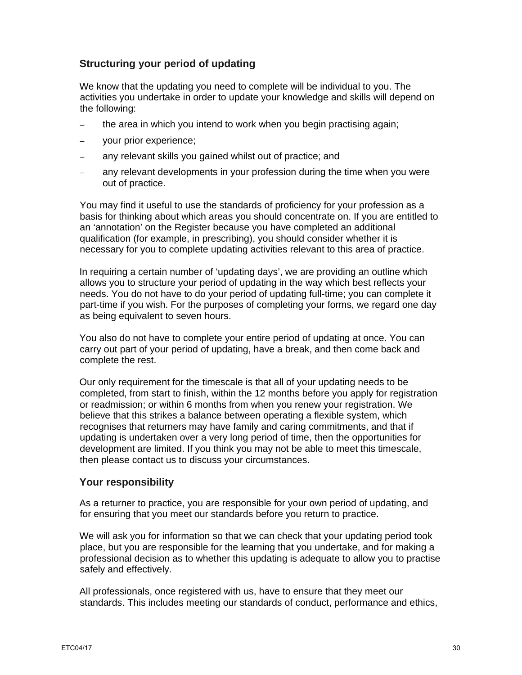# **Structuring your period of updating**

We know that the updating you need to complete will be individual to you. The activities you undertake in order to update your knowledge and skills will depend on the following:

- the area in which you intend to work when you begin practising again;
- your prior experience;
- any relevant skills you gained whilst out of practice; and
- any relevant developments in your profession during the time when you were out of practice.

You may find it useful to use the standards of proficiency for your profession as a basis for thinking about which areas you should concentrate on. If you are entitled to an 'annotation' on the Register because you have completed an additional qualification (for example, in prescribing), you should consider whether it is necessary for you to complete updating activities relevant to this area of practice.

In requiring a certain number of 'updating days', we are providing an outline which allows you to structure your period of updating in the way which best reflects your needs. You do not have to do your period of updating full-time; you can complete it part-time if you wish. For the purposes of completing your forms, we regard one day as being equivalent to seven hours.

You also do not have to complete your entire period of updating at once. You can carry out part of your period of updating, have a break, and then come back and complete the rest.

Our only requirement for the timescale is that all of your updating needs to be completed, from start to finish, within the 12 months before you apply for registration or readmission; or within 6 months from when you renew your registration. We believe that this strikes a balance between operating a flexible system, which recognises that returners may have family and caring commitments, and that if updating is undertaken over a very long period of time, then the opportunities for development are limited. If you think you may not be able to meet this timescale, then please contact us to discuss your circumstances.

## **Your responsibility**

As a returner to practice, you are responsible for your own period of updating, and for ensuring that you meet our standards before you return to practice.

We will ask you for information so that we can check that your updating period took place, but you are responsible for the learning that you undertake, and for making a professional decision as to whether this updating is adequate to allow you to practise safely and effectively.

All professionals, once registered with us, have to ensure that they meet our standards. This includes meeting our standards of conduct, performance and ethics,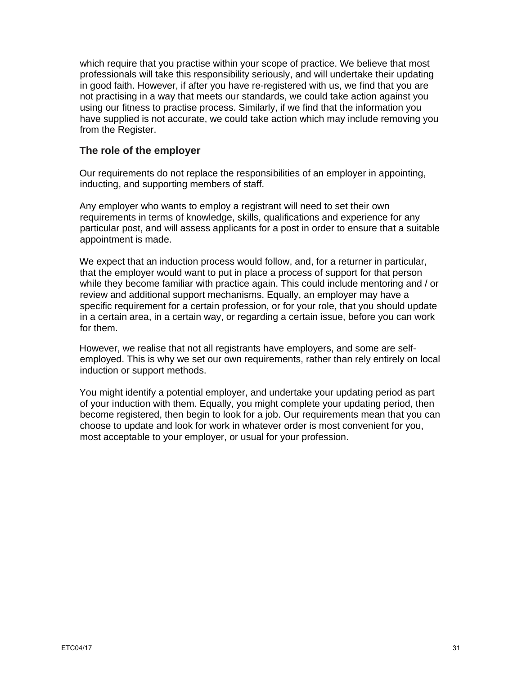which require that you practise within your scope of practice. We believe that most professionals will take this responsibility seriously, and will undertake their updating in good faith. However, if after you have re-registered with us, we find that you are not practising in a way that meets our standards, we could take action against you using our fitness to practise process. Similarly, if we find that the information you have supplied is not accurate, we could take action which may include removing you from the Register.

# **The role of the employer**

Our requirements do not replace the responsibilities of an employer in appointing, inducting, and supporting members of staff.

Any employer who wants to employ a registrant will need to set their own requirements in terms of knowledge, skills, qualifications and experience for any particular post, and will assess applicants for a post in order to ensure that a suitable appointment is made.

We expect that an induction process would follow, and, for a returner in particular, that the employer would want to put in place a process of support for that person while they become familiar with practice again. This could include mentoring and / or review and additional support mechanisms. Equally, an employer may have a specific requirement for a certain profession, or for your role, that you should update in a certain area, in a certain way, or regarding a certain issue, before you can work for them.

However, we realise that not all registrants have employers, and some are selfemployed. This is why we set our own requirements, rather than rely entirely on local induction or support methods.

You might identify a potential employer, and undertake your updating period as part of your induction with them. Equally, you might complete your updating period, then become registered, then begin to look for a job. Our requirements mean that you can choose to update and look for work in whatever order is most convenient for you, most acceptable to your employer, or usual for your profession.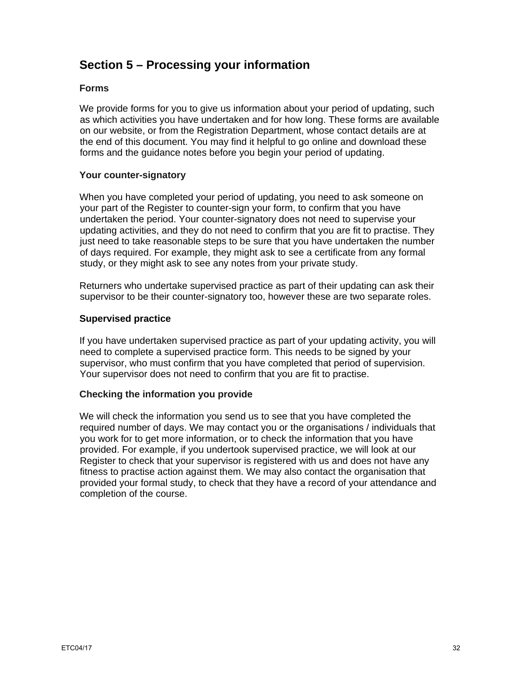# **Section 5 – Processing your information**

## **Forms**

We provide forms for you to give us information about your period of updating, such as which activities you have undertaken and for how long. These forms are available on our website, or from the Registration Department, whose contact details are at the end of this document. You may find it helpful to go online and download these forms and the guidance notes before you begin your period of updating.

#### **Your counter-signatory**

When you have completed your period of updating, you need to ask someone on your part of the Register to counter-sign your form, to confirm that you have undertaken the period. Your counter-signatory does not need to supervise your updating activities, and they do not need to confirm that you are fit to practise. They just need to take reasonable steps to be sure that you have undertaken the number of days required. For example, they might ask to see a certificate from any formal study, or they might ask to see any notes from your private study.

Returners who undertake supervised practice as part of their updating can ask their supervisor to be their counter-signatory too, however these are two separate roles.

#### **Supervised practice**

If you have undertaken supervised practice as part of your updating activity, you will need to complete a supervised practice form. This needs to be signed by your supervisor, who must confirm that you have completed that period of supervision. Your supervisor does not need to confirm that you are fit to practise.

#### **Checking the information you provide**

We will check the information you send us to see that you have completed the required number of days. We may contact you or the organisations / individuals that you work for to get more information, or to check the information that you have provided. For example, if you undertook supervised practice, we will look at our Register to check that your supervisor is registered with us and does not have any fitness to practise action against them. We may also contact the organisation that provided your formal study, to check that they have a record of your attendance and completion of the course.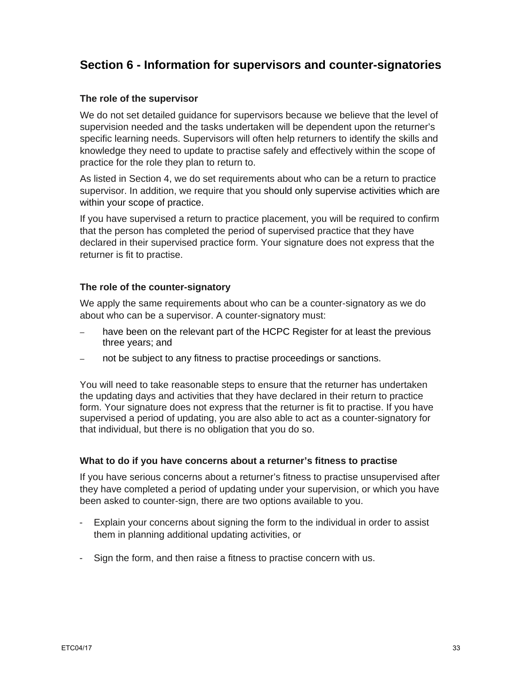# **Section 6 - Information for supervisors and counter-signatories**

## **The role of the supervisor**

We do not set detailed guidance for supervisors because we believe that the level of supervision needed and the tasks undertaken will be dependent upon the returner's specific learning needs. Supervisors will often help returners to identify the skills and knowledge they need to update to practise safely and effectively within the scope of practice for the role they plan to return to.

As listed in Section 4, we do set requirements about who can be a return to practice supervisor. In addition, we require that you should only supervise activities which are within your scope of practice.

If you have supervised a return to practice placement, you will be required to confirm that the person has completed the period of supervised practice that they have declared in their supervised practice form. Your signature does not express that the returner is fit to practise.

## **The role of the counter-signatory**

We apply the same requirements about who can be a counter-signatory as we do about who can be a supervisor. A counter-signatory must:

- have been on the relevant part of the HCPC Register for at least the previous three years; and
- not be subject to any fitness to practise proceedings or sanctions.

You will need to take reasonable steps to ensure that the returner has undertaken the updating days and activities that they have declared in their return to practice form. Your signature does not express that the returner is fit to practise. If you have supervised a period of updating, you are also able to act as a counter-signatory for that individual, but there is no obligation that you do so.

## **What to do if you have concerns about a returner's fitness to practise**

If you have serious concerns about a returner's fitness to practise unsupervised after they have completed a period of updating under your supervision, or which you have been asked to counter-sign, there are two options available to you.

- Explain your concerns about signing the form to the individual in order to assist them in planning additional updating activities, or
- Sign the form, and then raise a fitness to practise concern with us.